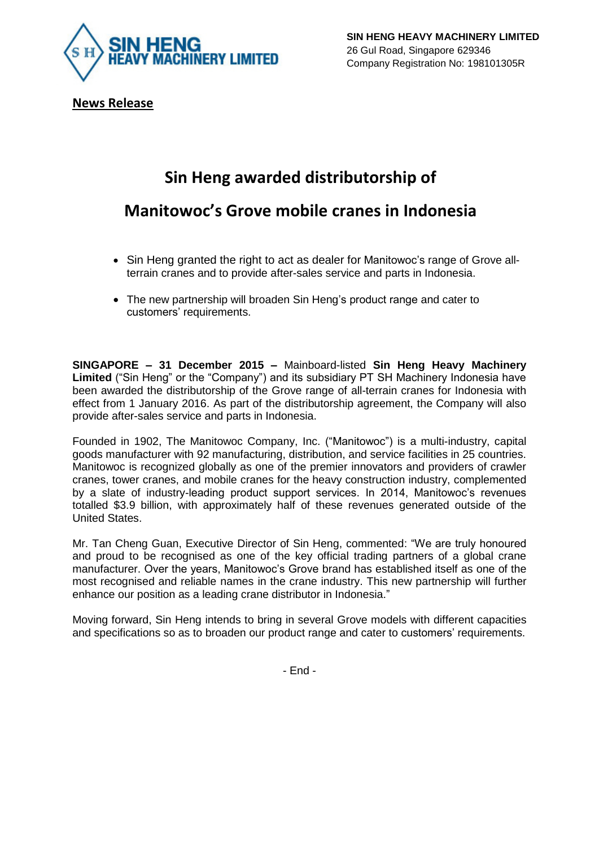

**News Release**

## **Sin Heng awarded distributorship of**

## **Manitowoc's Grove mobile cranes in Indonesia**

- Sin Heng granted the right to act as dealer for Manitowoc's range of Grove allterrain cranes and to provide after-sales service and parts in Indonesia.
- The new partnership will broaden Sin Heng's product range and cater to customers' requirements.

**SINGAPORE – 31 December 2015 –** Mainboard-listed **Sin Heng Heavy Machinery Limited** ("Sin Heng" or the "Company") and its subsidiary PT SH Machinery Indonesia have been awarded the distributorship of the Grove range of all-terrain cranes for Indonesia with effect from 1 January 2016. As part of the distributorship agreement, the Company will also provide after-sales service and parts in Indonesia.

Founded in 1902, The Manitowoc Company, Inc. ("Manitowoc") is a multi-industry, capital goods manufacturer with 92 manufacturing, distribution, and service facilities in 25 countries. Manitowoc is recognized globally as one of the premier innovators and providers of crawler cranes, tower cranes, and mobile cranes for the heavy construction industry, complemented by a slate of industry-leading product support services. In 2014, Manitowoc's revenues totalled \$3.9 billion, with approximately half of these revenues generated outside of the United States.

Mr. Tan Cheng Guan, Executive Director of Sin Heng, commented: "We are truly honoured and proud to be recognised as one of the key official trading partners of a global crane manufacturer. Over the years, Manitowoc's Grove brand has established itself as one of the most recognised and reliable names in the crane industry. This new partnership will further enhance our position as a leading crane distributor in Indonesia."

Moving forward, Sin Heng intends to bring in several Grove models with different capacities and specifications so as to broaden our product range and cater to customers' requirements.

- End -